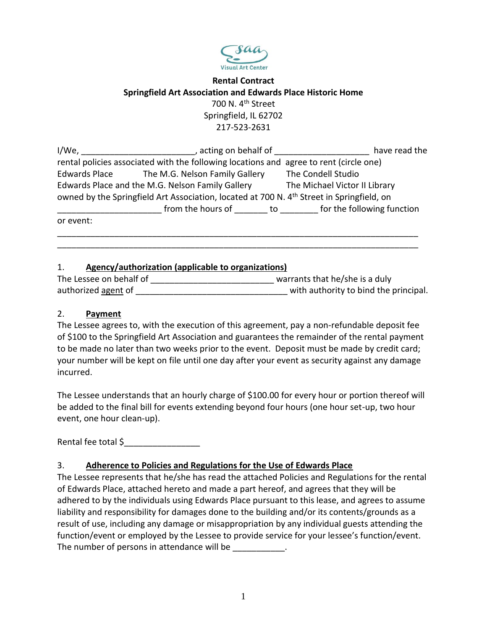

# **Rental Contract Springfield Art Association and Edwards Place Historic Home** 700 N. 4<sup>th</sup> Street Springfield, IL 62702 217-523-2631

| I/We,                                                                                                 | , acting on behalf of                        | have read the                 |  |
|-------------------------------------------------------------------------------------------------------|----------------------------------------------|-------------------------------|--|
| rental policies associated with the following locations and agree to rent (circle one)                |                                              |                               |  |
|                                                                                                       | Edwards Place The M.G. Nelson Family Gallery | The Condell Studio            |  |
| Edwards Place and the M.G. Nelson Family Gallery                                                      | The Michael Victor II Library                |                               |  |
| owned by the Springfield Art Association, located at 700 N. 4 <sup>th</sup> Street in Springfield, on |                                              |                               |  |
|                                                                                                       | from the hours of                            | to for the following function |  |
| or event:                                                                                             |                                              |                               |  |
|                                                                                                       |                                              |                               |  |

## 1. **Agency/authorization (applicable to organizations)**

| The Lessee on behalf of | warrants that he/she is a duly        |
|-------------------------|---------------------------------------|
| authorized agent of     | with authority to bind the principal. |

\_\_\_\_\_\_\_\_\_\_\_\_\_\_\_\_\_\_\_\_\_\_\_\_\_\_\_\_\_\_\_\_\_\_\_\_\_\_\_\_\_\_\_\_\_\_\_\_\_\_\_\_\_\_\_\_\_\_\_\_\_\_\_\_\_\_\_\_\_\_\_\_\_\_\_\_

### 2. **Payment**

The Lessee agrees to, with the execution of this agreement, pay a non-refundable deposit fee of \$100 to the Springfield Art Association and guarantees the remainder of the rental payment to be made no later than two weeks prior to the event. Deposit must be made by credit card; your number will be kept on file until one day after your event as security against any damage incurred.

The Lessee understands that an hourly charge of \$100.00 for every hour or portion thereof will be added to the final bill for events extending beyond four hours (one hour set-up, two hour event, one hour clean-up).

Rental fee total \$

# 3. **Adherence to Policies and Regulations for the Use of Edwards Place**

The Lessee represents that he/she has read the attached Policies and Regulations for the rental of Edwards Place, attached hereto and made a part hereof, and agrees that they will be adhered to by the individuals using Edwards Place pursuant to this lease, and agrees to assume liability and responsibility for damages done to the building and/or its contents/grounds as a result of use, including any damage or misappropriation by any individual guests attending the function/event or employed by the Lessee to provide service for your lessee's function/event. The number of persons in attendance will be  $\qquad \qquad$ .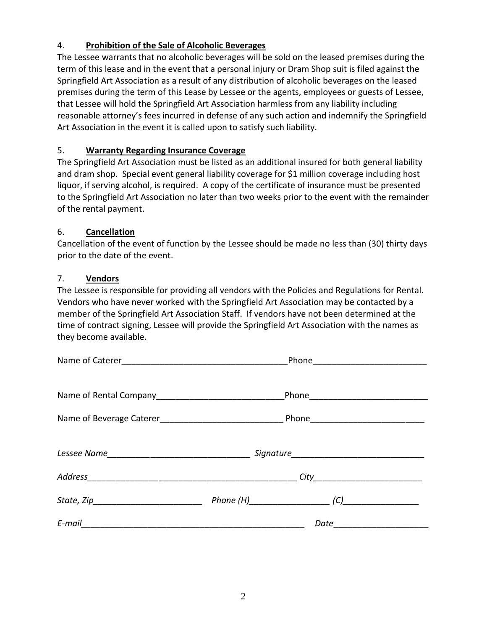## 4. **Prohibition of the Sale of Alcoholic Beverages**

The Lessee warrants that no alcoholic beverages will be sold on the leased premises during the term of this lease and in the event that a personal injury or Dram Shop suit is filed against the Springfield Art Association as a result of any distribution of alcoholic beverages on the leased premises during the term of this Lease by Lessee or the agents, employees or guests of Lessee, that Lessee will hold the Springfield Art Association harmless from any liability including reasonable attorney's fees incurred in defense of any such action and indemnify the Springfield Art Association in the event it is called upon to satisfy such liability.

## 5. **Warranty Regarding Insurance Coverage**

The Springfield Art Association must be listed as an additional insured for both general liability and dram shop. Special event general liability coverage for \$1 million coverage including host liquor, if serving alcohol, is required. A copy of the certificate of insurance must be presented to the Springfield Art Association no later than two weeks prior to the event with the remainder of the rental payment.

### 6. **Cancellation**

Cancellation of the event of function by the Lessee should be made no less than (30) thirty days prior to the date of the event.

#### 7. **Vendors**

The Lessee is responsible for providing all vendors with the Policies and Regulations for Rental. Vendors who have never worked with the Springfield Art Association may be contacted by a member of the Springfield Art Association Staff. If vendors have not been determined at the time of contract signing, Lessee will provide the Springfield Art Association with the names as they become available.